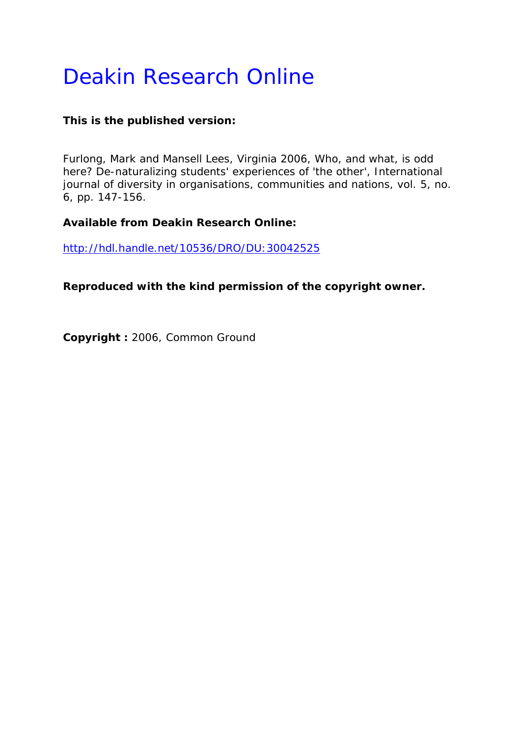# Deakin Research Online

# **This is the published version:**

Furlong, Mark and Mansell Lees, Virginia 2006, Who, and what, is odd here? De-naturalizing students' experiences of 'the other'*, International journal of diversity in organisations, communities and nations*, vol. 5, no. 6, pp. 147-156.

# **Available from Deakin Research Online:**

http://hdl.handle.net/10536/DRO/DU:30042525

**Reproduced with the kind permission of the copyright owner.** 

**Copyright :** 2006, Common Ground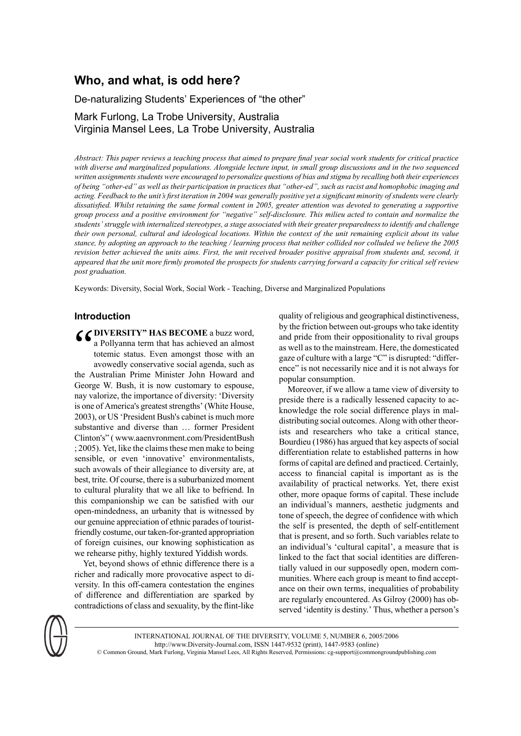# **Who, and what, is odd here?**

De-naturalizing Students' Experiences of "the other"

# Mark Furlong, La Trobe University, Australia Virginia Mansel Lees, La Trobe University, Australia

Abstract: This paper reviews a teaching process that aimed to prepare final year social work students for critical practice with diverse and marginalized populations. Alongside lecture input, in small group discussions and in the two sequenced written assignments students were encouraged to personalize questions of bias and stigma by recalling both their experiences of being "other-ed" as well as their participation in practices that "other-ed", such as racist and homophobic imaging and acting. Feedback to the unit's first iteration in 2004 was generally positive yet a significant minority of students were clearly dissatisfied. Whilst retaining the same formal content in 2005, greater attention was devoted to generating a supportive group process and a positive environment for "negative" self-disclosure. This milieu acted to contain and normalize the students' struggle with internalized stereotypes, a stage associated with their greater preparedness to identify and challenge their own personal, cultural and ideological locations. Within the context of the unit remaining explicit about its value stance, by adopting an approach to the teaching / learning process that neither collided nor colluded we believe the 2005 revision better achieved the units aims. First, the unit received broader positive appraisal from students and, second, it appeared that the unit more firmly promoted the prospects for students carrying forward a capacity for critical self review *post graduation.*

Keywords: Diversity, Social Work, Social Work - Teaching, Diverse and Marginalized Populations

# **Introduction**

**COIVERSITY" HAS BECOME** a buzz word, a Pollyanna term that has achieved an almost totemic status. Even amongst those with an avowedly conservative social agenda, such as a Pollyanna term that has achieved an almost totemic status. Even amongst those with an avowedly conservative social agenda, such as the Australian Prime Minister John Howard and George W. Bush, it is now customary to espouse, nay valorize, the importance of diversity: 'Diversity is one of America's greatest strengths' (White House, 2003), or US'President Bush's cabinet is much more substantive and diverse than … former President Clinton's" ( www.aaenvronment.com/PresidentBush : 2005). Yet, like the claims these men make to being sensible, or even 'innovative' environmentalists, such avowals of their allegiance to diversity are, at best, trite. Of course, there is a suburbanized moment to cultural plurality that we all like to befriend. In this companionship we can be satisfied with our open-mindedness, an urbanity that is witnessed by our genuine appreciation of ethnic parades of touristfriendly costume, our taken-for-granted appropriation of foreign cuisines, our knowing sophistication as we rehearse pithy, highly textured Yiddish words.

Yet, beyond shows of ethnic difference there is a richer and radically more provocative aspect to diversity. In this off-camera contestation the engines of difference and differentiation are sparked by contradictions of class and sexuality, by the flint-like quality of religious and geographical distinctiveness, by the friction between out-groups who take identity and pride from their oppositionality to rival groups as well as to the mainstream. Here, the domesticated gaze of culture with a large "C" is disrupted: "difference" is not necessarily nice and it is not always for popular consumption.

Moreover, if we allow a tame view of diversity to preside there is a radically lessened capacity to acknowledge the role social difference plays in maldistributing social outcomes. Along with other theorists and researchers who take a critical stance, Bourdieu (1986) has argued that key aspects of social differentiation relate to established patterns in how forms of capital are defined and practiced. Certainly, access to financial capital is important as is the availability of practical networks. Yet, there exist other, more opaque forms of capital. These include an individual's manners, aesthetic judgments and tone of speech, the degree of confidence with which the self is presented, the depth of self-entitlement that is present, and so forth. Such variables relate to an individual's 'cultural capital', a measure that is linked to the fact that social identities are differentially valued in our supposedly open, modern communities. Where each group is meant to find acceptance on their own terms, inequalities of probability are regularly encountered. As Gilroy (2000) has observed 'identity is destiny.' Thus, whether a person's



INTERNATIONAL JOURNAL OF THE DIVERSITY, VOLUME 5, NUMBER 6, 2005/2006 http://www.Diversity-Journal.com, ISSN 1447-9532 (print), 1447-9583 (online) © Common Ground, Mark Furlong, Virginia Mansel Lees, All Rights Reserved, Permissions: cg-support@commongroundpublishing.com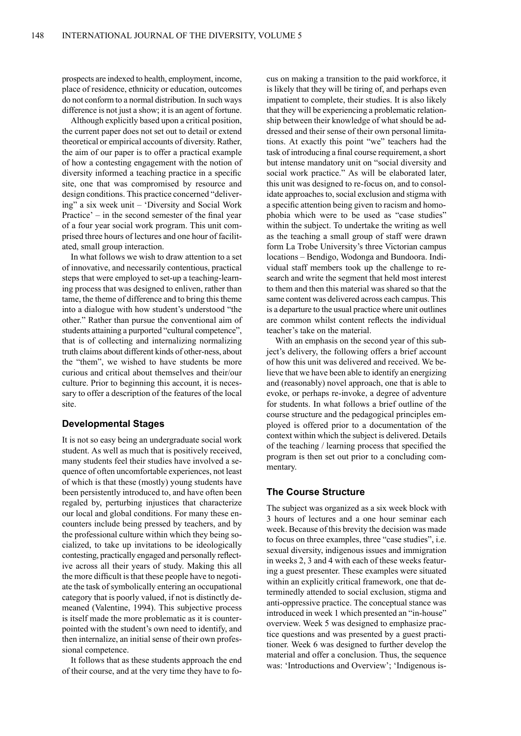prospects are indexed to health, employment, income, place of residence, ethnicity or education, outcomes do not conform to a normal distribution. In such ways difference is not just a show; it is an agent of fortune.

Although explicitly based upon a critical position, the current paper does not set out to detail or extend theoretical or empirical accounts of diversity. Rather, the aim of our paper is to offer a practical example of how a contesting engagement with the notion of diversity informed a teaching practice in a specific site, one that was compromised by resource and design conditions. This practice concerned "delivering" a six week unit – 'Diversity and Social Work Practice' – in the second semester of the final year of a four year social work program. This unit comprised three hours of lectures and one hour of facilitated, small group interaction.

In what follows we wish to draw attention to a set of innovative, and necessarily contentious, practical steps that were employed to set-up a teaching-learning process that was designed to enliven, rather than tame, the theme of difference and to bring this theme into a dialogue with how student's understood "the other." Rather than pursue the conventional aim of students attaining a purported "cultural competence", that is of collecting and internalizing normalizing truth claims about different kinds of other-ness, about the "them", we wished to have students be more curious and critical about themselves and their/our culture. Prior to beginning this account, it is necessary to offer a description of the features of the local site.

## **Developmental Stages**

It is not so easy being an undergraduate social work student. As well as much that is positively received, many students feel their studies have involved a sequence of often uncomfortable experiences, not least of which is that these (mostly) young students have been persistently introduced to, and have often been regaled by, perturbing injustices that characterize our local and global conditions. For many these encounters include being pressed by teachers, and by the professional culture within which they being socialized, to take up invitations to be ideologically contesting, practically engaged and personally reflective across all their years of study. Making this all the more difficult is that these people have to negotiate the task of symbolically entering an occupational category that is poorly valued, if not is distinctly demeaned (Valentine, 1994). This subjective process is itself made the more problematic as it is counterpointed with the student's own need to identify, and then internalize, an initial sense of their own professional competence.

It follows that as these students approach the end of their course, and at the very time they have to focus on making a transition to the paid workforce, it is likely that they will be tiring of, and perhaps even impatient to complete, their studies. It is also likely that they will be experiencing a problematic relationship between their knowledge of what should be addressed and their sense of their own personal limitations. At exactly this point "we" teachers had the task of introducing afinal course requirement, a short but intense mandatory unit on "social diversity and social work practice." As will be elaborated later, this unit was designed to re-focus on, and to consolidate approaches to, social exclusion and stigma with a specific attention being given to racism and homophobia which were to be used as "case studies" within the subject. To undertake the writing as well as the teaching a small group of staff were drawn form La Trobe University's three Victorian campus locations – Bendigo, Wodonga and Bundoora. Individual staff members took up the challenge to research and write the segment that held most interest to them and then this material was shared so that the same content was delivered across each campus. This is a departure to the usual practice where unit outlines are common whilst content reflects the individual teacher's take on the material.

With an emphasis on the second year of this subject's delivery, the following offers a brief account of how this unit was delivered and received. We believe that we have been able to identify an energizing and (reasonably) novel approach, one that is able to evoke, or perhaps re-invoke, a degree of adventure for students. In what follows a brief outline of the course structure and the pedagogical principles employed is offered prior to a documentation of the context within which the subject is delivered. Details of the teaching / learning process that specified the program is then set out prior to a concluding commentary.

## **The Course Structure**

The subject was organized as a six week block with 3 hours of lectures and a one hour seminar each week. Because of this brevity the decision was made to focus on three examples, three "case studies", i.e. sexual diversity, indigenous issues and immigration in weeks 2, 3 and 4 with each of these weeks featuring a guest presenter. These examples were situated within an explicitly critical framework, one that determinedly attended to social exclusion, stigma and anti-oppressive practice. The conceptual stance was introduced in week 1 which presented an "in-house" overview. Week 5 was designed to emphasize practice questions and was presented by a guest practitioner. Week 6 was designed to further develop the material and offer a conclusion. Thus, the sequence was: 'Introductions and Overview'; 'Indigenous is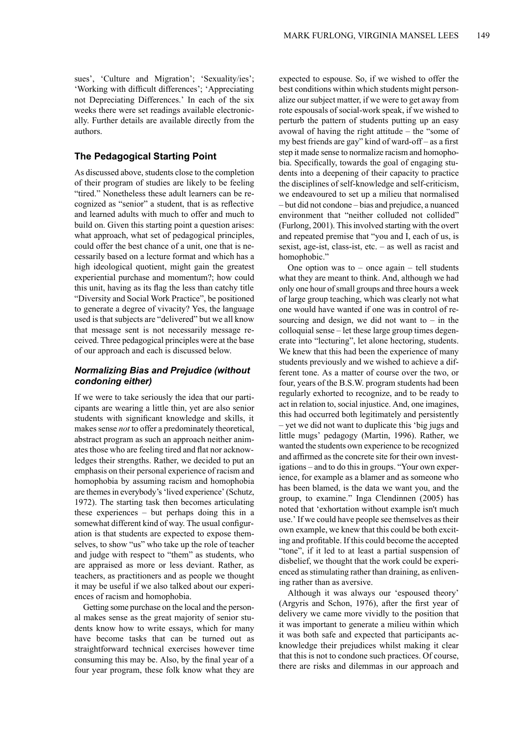sues', 'Culture and Migration'; 'Sexuality/ies'; 'Working with difficult differences'; 'Appreciating not Depreciating Differences.' In each of the six weeks there were set readings available electronically. Further details are available directly from the authors.

# **The Pedagogical Starting Point**

As discussed above, students close to the completion of their program of studies are likely to be feeling "tired." Nonetheless these adult learners can be recognized as "senior" a student, that is as reflective and learned adults with much to offer and much to build on. Given this starting point a question arises: what approach, what set of pedagogical principles, could offer the best chance of a unit, one that is necessarily based on a lecture format and which has a high ideological quotient, might gain the greatest experiential purchase and momentum?; how could this unit, having as its flag the less than catchy title "Diversity and Social Work Practice", be positioned to generate a degree of vivacity? Yes, the language used is that subjects are "delivered" but we all know that message sent is not necessarily message received. Three pedagogical principles were at the base of our approach and each is discussed below.

# *Normalizing Bias and Prejudice (without condoning either)*

If we were to take seriously the idea that our participants are wearing a little thin, yet are also senior students with significant knowledge and skills, it makes sense *not* to offer a predominately theoretical, abstract program as such an approach neither animates those who are feeling tired and flat nor acknowledges their strengths. Rather, we decided to put an emphasis on their personal experience of racism and homophobia by assuming racism and homophobia are themes in everybody's 'lived experience' (Schutz, 1972). The starting task then becomes articulating these experiences – but perhaps doing this in a somewhat different kind of way. The usual configuration is that students are expected to expose themselves, to show "us" who take up the role of teacher and judge with respect to "them" as students, who are appraised as more or less deviant. Rather, as teachers, as practitioners and as people we thought it may be useful if we also talked about our experiences of racism and homophobia.

Getting some purchase on the local and the personal makes sense as the great majority of senior students know how to write essays, which for many have become tasks that can be turned out as straightforward technical exercises however time consuming this may be. Also, by the final year of a four year program, these folk know what they are

expected to espouse. So, if we wished to offer the best conditions within which students might personalize our subject matter, if we were to get away from rote espousals of social-work speak, if we wished to perturb the pattern of students putting up an easy avowal of having the right attitude – the "some of my best friends are gay" kind of ward-off – as a first step it made sense to normalize racism and homophobia. Specifically, towards the goal of engaging students into a deepening of their capacity to practice the disciplines of self-knowledge and self-criticism, we endeavoured to set up a milieu that normalised – but did not condone – bias and prejudice, a nuanced environment that "neither colluded not collided" (Furlong, 2001). Thisinvolved starting with the overt and repeated premise that "you and I, each of us, is sexist, age-ist, class-ist, etc. – as well as racist and homophobic."

One option was to – once again – tell students what they are meant to think. And, although we had only one hour ofsmall groups and three hours a week of large group teaching, which was clearly not what one would have wanted if one was in control of resourcing and design, we did not want to  $-$  in the colloquial sense – let these large group times degenerate into "lecturing", let alone hectoring, students. We knew that this had been the experience of many students previously and we wished to achieve a different tone. As a matter of course over the two, or four, years of the B.S.W. program students had been regularly exhorted to recognize, and to be ready to act in relation to, social injustice. And, one imagines, this had occurred both legitimately and persistently – yet we did not want to duplicate this 'big jugs and little mugs' pedagogy (Martin, 1996). Rather, we wanted the students own experience to be recognized and affirmed asthe concrete site for their own investigations – and to do thisin groups. "Your own experience, for example as a blamer and as someone who has been blamed, is the data we want you, and the group, to examine." Inga Clendinnen (2005) has noted that 'exhortation without example isn't much use.' If we could have people see themselves astheir own example, we knew that this could be both exciting and profitable. If this could become the accepted "tone", if it led to at least a partial suspension of disbelief, we thought that the work could be experienced as stimulating rather than draining, as enlivening rather than as aversive.

Although it was always our 'espoused theory' (Argyris and Schon, 1976), after the first year of delivery we came more vividly to the position that it was important to generate a milieu within which it was both safe and expected that participants acknowledge their prejudices whilst making it clear that this is not to condone such practices. Of course, there are risks and dilemmas in our approach and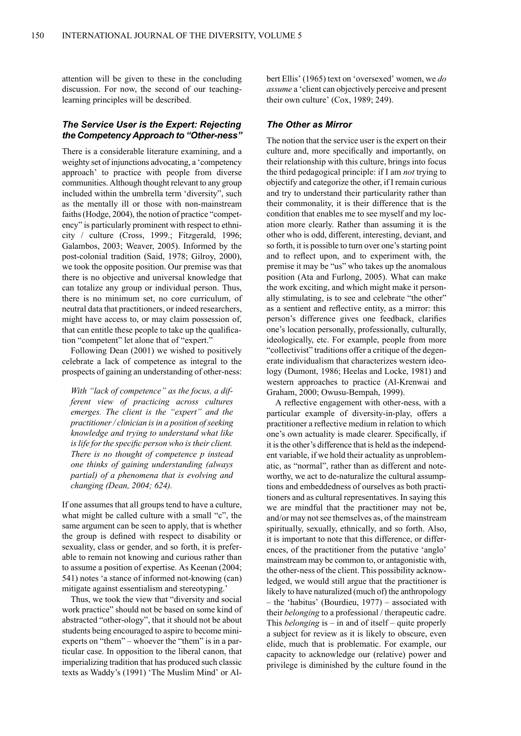attention will be given to these in the concluding discussion. For now, the second of our teachinglearning principles will be described.

# *The Service User is the Expert: Rejecting the Competency Approach to "Other-ness"*

There is a considerable literature examining, and a weighty set of injunctions advocating, a 'competency approach' to practice with people from diverse communities. Although thought relevant to any group included within the umbrella term 'diversity", such as the mentally ill or those with non-mainstream faiths(Hodge, 2004), the notion of practice "competency" is particularly prominent with respect to ethnicity / culture (Cross, 1999.; Fitzgerald, 1996; Galambos, 2003; Weaver, 2005). Informed by the post-colonial tradition (Said, 1978; Gilroy, 2000), we took the opposite position. Our premise was that there is no objective and universal knowledge that can totalize any group or individual person. Thus, there is no minimum set, no core curriculum, of neutral data that practitioners, or indeed researchers, might have access to, or may claim possession of, that can entitle these people to take up the qualification "competent" let alone that of "expert."

Following Dean (2001) we wished to positively celebrate a lack of competence as integral to the prospects of gaining an understanding of other-ness:

*With "lack of competence" as the focus, a different view of practicing across cultures emerges. The client is the "expert" and the practitioner/ clinician isin a position ofseeking knowledge and trying to understand what like is life for the specific person who is their client. There is no thought of competence p instead one thinks of gaining understanding (always partial) of a phenomena that is evolving and changing (Dean, 2004; 624).*

If one assumes that all groups tend to have a culture, what might be called culture with a small "c", the same argument can be seen to apply, that is whether the group is defined with respect to disability or sexuality, class or gender, and so forth, it is preferable to remain not knowing and curious rather than to assume a position of expertise. As Keenan (2004; 541) notes 'a stance of informed not-knowing (can) mitigate against essentialism and stereotyping.'

Thus, we took the view that "diversity and social work practice" should not be based on some kind of abstracted "other-ology", that it should not be about students being encouraged to aspire to become miniexperts on "them" – whoever the "them" is in a particular case. In opposition to the liberal canon, that imperializing tradition that has produced such classic texts as Waddy's (1991) 'The Muslim Mind' or Albert Ellis' (1965) text on 'oversexed' women, we *do assume* a 'client can objectively perceive and present their own culture' (Cox, 1989; 249).

# *The Other as Mirror*

The notion that the service user is the expert on their culture and, more specifically and importantly, on their relationship with this culture, brings into focus the third pedagogical principle: if I am *not* trying to objectify and categorize the other, if I remain curious and try to understand their particularity rather than their commonality, it is their difference that is the condition that enables me to see myself and my location more clearly. Rather than assuming it is the other who is odd, different, interesting, deviant, and so forth, it is possible to turn over one's starting point and to reflect upon, and to experiment with, the premise it may be "us" who takes up the anomalous position (Ata and Furlong, 2005). What can make the work exciting, and which might make it personally stimulating, is to see and celebrate "the other" as a sentient and reflective entity, as a mirror: this person's difference gives one feedback, clarifies one's location personally, professionally, culturally, ideologically, etc. For example, people from more "collectivist" traditions offer a critique of the degenerate individualism that characterizes western ideology (Dumont, 1986; Heelas and Locke, 1981) and western approaches to practice (Al-Krenwai and Graham, 2000; Owusu-Bempah, 1999).

A reflective engagement with other-ness, with a particular example of diversity-in-play, offers a practitioner a reflective medium in relation to which one's own actuality is made clearer. Specifically, if it is the other's difference that is held as the independent variable, if we hold their actuality as unproblematic, as "normal", rather than as different and noteworthy, we act to de-naturalize the cultural assumptions and embeddedness of ourselves as both practitioners and as cultural representatives. In saying this we are mindful that the practitioner may not be, and/or may not see themselves as, of the mainstream spiritually, sexually, ethnically, and so forth. Also, it is important to note that this difference, or differences, of the practitioner from the putative 'anglo' mainstream may be common to, or antagonistic with, the other-ness of the client. This possibility acknowledged, we would still argue that the practitioner is likely to have naturalized (much of) the anthropology – the 'habitus' (Bourdieu, 1977) – associated with their *belonging* to a professional / therapeutic cadre. This *belonging* is – in and of itself – quite properly a subject for review as it is likely to obscure, even elide, much that is problematic. For example, our capacity to acknowledge our (relative) power and privilege is diminished by the culture found in the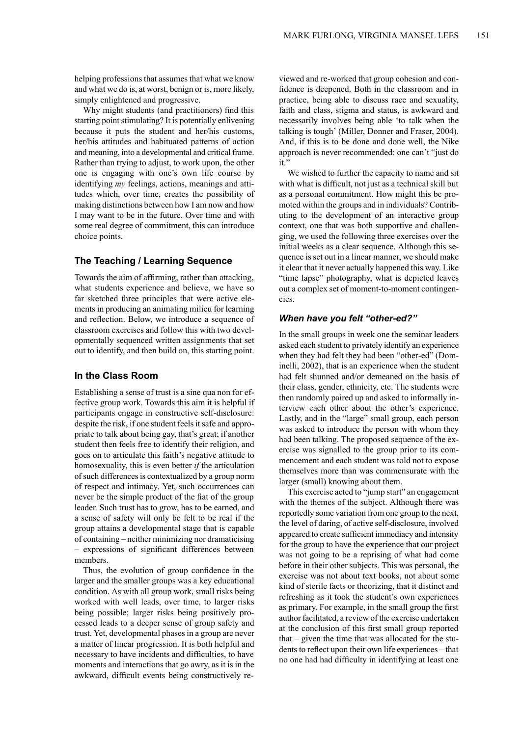helping professions that assumes that what we know and what we do is, at worst, benign or is, more likely, simply enlightened and progressive.

Why might students (and practitioners) find this starting point stimulating? It is potentially enlivening because it puts the student and her/his customs, her/his attitudes and habituated patterns of action and meaning, into a developmental and critical frame. Rather than trying to adjust, to work upon, the other one is engaging with one's own life course by identifying *my* feelings, actions, meanings and attitudes which, over time, creates the possibility of making distinctions between how I am now and how I may want to be in the future. Over time and with some real degree of commitment, this can introduce choice points.

# **The Teaching / Learning Sequence**

Towards the aim of affirming, rather than attacking, what students experience and believe, we have so far sketched three principles that were active elements in producing an animating milieu for learning and reflection. Below, we introduce a sequence of classroom exercises and follow this with two developmentally sequenced written assignments that set out to identify, and then build on, this starting point.

#### **In the Class Room**

Establishing a sense of trust is a sine qua non for effective group work. Towards this aim it is helpful if participants engage in constructive self-disclosure: despite the risk, if one student feels it safe and appropriate to talk about being gay, that's great; if another student then feels free to identify their religion, and goes on to articulate this faith's negative attitude to homosexuality, this is even better *if* the articulation of such differences is contextualized by a group norm of respect and intimacy. Yet, such occurrences can never be the simple product of the fiat of the group leader. Such trust has to grow, has to be earned, and a sense of safety will only be felt to be real if the group attains a developmental stage that is capable of containing – neither minimizing nor dramaticising – expressions of significant differences between members.

Thus, the evolution of group confidence in the larger and the smaller groups was a key educational condition. As with all group work, small risks being worked with well leads, over time, to larger risks being possible; larger risks being positively processed leads to a deeper sense of group safety and trust. Yet, developmental phasesin a group are never a matter of linear progression. It is both helpful and necessary to have incidents and difficulties, to have moments and interactions that go awry, as it is in the awkward, difficult events being constructively re-

viewed and re-worked that group cohesion and confidence is deepened. Both in the classroom and in practice, being able to discuss race and sexuality, faith and class, stigma and status, is awkward and necessarily involves being able 'to talk when the talking is tough' (Miller, Donner and Fraser, 2004). And, if this is to be done and done well, the Nike approach is never recommended: one can't "just do it."

We wished to further the capacity to name and sit with what is difficult, not just as a technical skill but as a personal commitment. How might this be promoted within the groups and in individuals? Contributing to the development of an interactive group context, one that was both supportive and challenging, we used the following three exercises over the initial weeks as a clear sequence. Although this sequence is set out in a linear manner, we should make it clear that it never actually happened this way. Like "time lapse" photography, what is depicted leaves out a complex set of moment-to-moment contingencies.

#### *When have you felt "other-ed?"*

In the small groups in week one the seminar leaders asked each student to privately identify an experience when they had felt they had been "other-ed" (Dominelli, 2002), that is an experience when the student had felt shunned and/or demeaned on the basis of their class, gender, ethnicity, etc. The students were then randomly paired up and asked to informally interview each other about the other's experience. Lastly, and in the "large" small group, each person was asked to introduce the person with whom they had been talking. The proposed sequence of the exercise was signalled to the group prior to its commencement and each student was told not to expose themselves more than was commensurate with the larger (small) knowing about them.

This exercise acted to "jump start" an engagement with the themes of the subject. Although there was reportedly some variation from one group to the next, the level of daring, of active self-disclosure, involved appeared to create sufficient immediacy and intensity for the group to have the experience that our project was not going to be a reprising of what had come before in their other subjects. This was personal, the exercise was not about text books, not about some kind of sterile facts or theorizing, that it distinct and refreshing as it took the student's own experiences as primary. For example, in the small group the first author facilitated, a review of the exercise undertaken at the conclusion of this first small group reported that – given the time that was allocated for the students to reflect upon their own life experiences – that no one had had difficulty in identifying at least one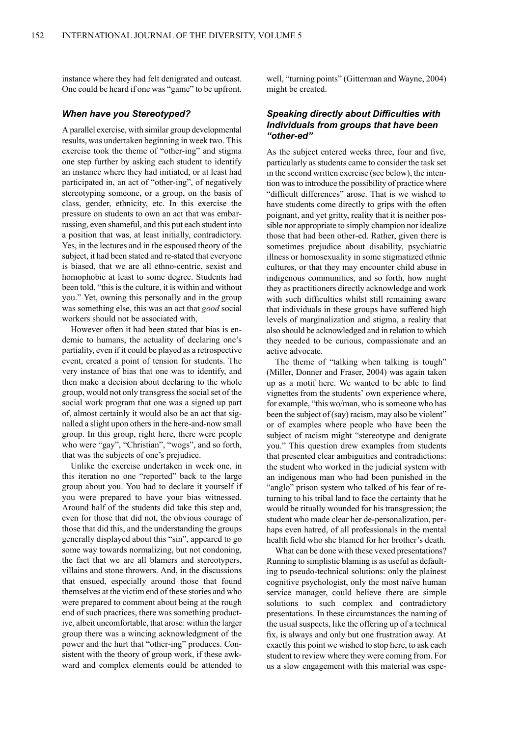instance where they had felt denigrated and outcast. One could be heard if one was "game" to be upfront.

#### *When have you Stereotyped?*

A parallel exercise, with similar group developmental results, was undertaken beginning in week two. This exercise took the theme of "other-ing" and stigma one step further by asking each student to identify an instance where they had initiated, or at least had participated in, an act of "other-ing", of negatively stereotyping someone, or a group, on the basis of class, gender, ethnicity, etc. In this exercise the pressure on students to own an act that was embarrassing, even shameful, and this put each student into a position that was, at least initially, contradictory. Yes, in the lectures and in the espoused theory of the subject, it had been stated and re-stated that everyone is biased, that we are all ethno-centric, sexist and homophobic at least to some degree. Students had been told, "this is the culture, it is within and without you." Yet, owning this personally and in the group was something else, this was an act that *good* social workers should not be associated with,

However often it had been stated that bias is endemic to humans, the actuality of declaring one's partiality, even if it could be played as a retrospective event, created a point of tension for students. The very instance of bias that one was to identify, and then make a decision about declaring to the whole group, would not only transgress the social set of the social work program that one was a signed up part of, almost certainly it would also be an act that signalled a slight upon others in the here-and-now small group. In this group, right here, there were people who were "gay", "Christian", "wogs", and so forth, that was the subjects of one's prejudice.

Unlike the exercise undertaken in week one, in this iteration no one "reported" back to the large group about you. You had to declare it yourself if you were prepared to have your bias witnessed. Around half of the students did take this step and, even for those that did not, the obvious courage of those that did this, and the understanding the groups generally displayed about this "sin", appeared to go some way towards normalizing, but not condoning, the fact that we are all blamers and stereotypers, villains and stone throwers. And, in the discussions that ensued, especially around those that found themselves at the victim end of these stories and who were prepared to comment about being at the rough end of such practices, there was something productive, albeit uncomfortable, that arose: within the larger group there was a wincing acknowledgment of the power and the hurt that "other-ing" produces. Consistent with the theory of group work, if these awkward and complex elements could be attended to

well, "turning points" (Gitterman and Wayne, 2004) might be created.

# *Speaking directly about Difficulties with Individuals from groups that have been "other-ed"*

As the subject entered weeks three, four and five, particularly as students came to consider the task set in the second written exercise (see below), the intention wasto introduce the possibility of practice where "difficult differences" arose. That is we wished to have students come directly to grips with the often poignant, and yet gritty, reality that it is neither possible nor appropriate to simply champion nor idealize those that had been other-ed. Rather, given there is sometimes prejudice about disability, psychiatric illness or homosexuality in some stigmatized ethnic cultures, or that they may encounter child abuse in indigenous communities, and so forth, how might they as practitioners directly acknowledge and work with such difficulties whilst still remaining aware that individuals in these groups have suffered high levels of marginalization and stigma, a reality that also should be acknowledged and in relation to which they needed to be curious, compassionate and an active advocate.

The theme of "talking when talking is tough" (Miller, Donner and Fraser, 2004) was again taken up as a motif here. We wanted to be able to find vignettes from the students' own experience where, for example, "this wo/man, who is someone who has been the subject of (say) racism, may also be violent" or of examples where people who have been the subject of racism might "stereotype and denigrate you." This question drew examples from students that presented clear ambiguities and contradictions: the student who worked in the judicial system with an indigenous man who had been punished in the "anglo" prison system who talked of his fear of returning to his tribal land to face the certainty that he would be ritually wounded for his transgression; the student who made clear her de-personalization, perhaps even hatred, of all professionals in the mental health field who she blamed for her brother's death.

What can be done with these vexed presentations? Running to simplistic blaming is as useful as defaulting to pseudo-technical solutions: only the plainest cognitive psychologist, only the most naïve human service manager, could believe there are simple solutions to such complex and contradictory presentations. In these circumstances the naming of the usual suspects, like the offering up of a technical fix, is always and only but one frustration away. At exactly this point we wished to stop here, to ask each student to review where they were coming from.For us a slow engagement with this material was espe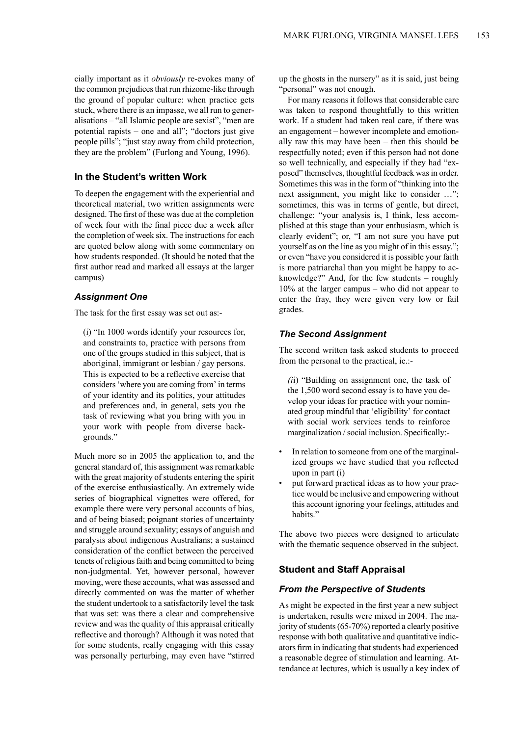cially important as it *obviously* re-evokes many of the common prejudices that run rhizome-like through the ground of popular culture: when practice gets stuck, where there is an impasse, we all run to generalisations – "all Islamic people are sexist", "men are potential rapists – one and all"; "doctors just give people pills"; "just stay away from child protection, they are the problem" (Furlong and Young, 1996).

# **In the Student's written Work**

To deepen the engagement with the experiential and theoretical material, two written assignments were designed. The first of these was due at the completion of week four with the final piece due a week after the completion of week six. The instructions for each are quoted below along with some commentary on how students responded. (It should be noted that the first author read and marked all essays at the larger campus)

#### *Assignment One*

The task for the first essay was set out as:-

(i) "In 1000 words identify your resources for, and constraints to, practice with persons from one of the groups studied in this subject, that is aboriginal, immigrant or lesbian / gay persons. This is expected to be a reflective exercise that considers'where you are coming from' in terms of your identity and its politics, your attitudes and preferences and, in general, sets you the task of reviewing what you bring with you in your work with people from diverse backgrounds."

Much more so in 2005 the application to, and the general standard of, this assignment was remarkable with the great majority of students entering the spirit of the exercise enthusiastically. An extremely wide series of biographical vignettes were offered, for example there were very personal accounts of bias, and of being biased; poignant stories of uncertainty and struggle around sexuality; essays of anguish and paralysis about indigenous Australians; a sustained consideration of the conflict between the perceived tenets of religious faith and being committed to being non-judgmental. Yet, however personal, however moving, were these accounts, what was assessed and directly commented on was the matter of whether the student undertook to a satisfactorily level the task that was set: was there a clear and comprehensive review and was the quality of this appraisal critically reflective and thorough? Although it was noted that for some students, really engaging with this essay was personally perturbing, may even have "stirred up the ghosts in the nursery" as it is said, just being "personal" was not enough.

For many reasons it follows that considerable care was taken to respond thoughtfully to this written work. If a student had taken real care, if there was an engagement – however incomplete and emotionally raw this may have been – then this should be respectfully noted; even if this person had not done so well technically, and especially if they had "exposed" themselves, thoughtful feedback wasin order. Sometimes this was in the form of "thinking into the next assignment, you might like to consider …"; sometimes, this was in terms of gentle, but direct, challenge: "your analysis is, I think, less accomplished at this stage than your enthusiasm, which is clearly evident"; or, "I am not sure you have put yourself as on the line as you might of in this essay."; or even "have you considered it is possible your faith is more patriarchal than you might be happy to acknowledge?" And, for the few students – roughly 10% at the larger campus – who did not appear to enter the fray, they were given very low or fail grades.

## *The Second Assignment*

The second written task asked students to proceed from the personal to the practical, ie.:-

*(i*i) "Building on assignment one, the task of the 1,500 word second essay is to have you develop your ideas for practice with your nominated group mindful that 'eligibility' for contact with social work services tends to reinforce marginalization / social inclusion. Specifically:-

- In relation to someone from one of the marginalized groups we have studied that you reflected upon in part (i)
- put forward practical ideas as to how your practice would be inclusive and empowering without this account ignoring your feelings, attitudes and habits."

The above two pieces were designed to articulate with the thematic sequence observed in the subject.

# **Student and Staff Appraisal**

# *From the Perspective of Students*

As might be expected in the first year a new subject is undertaken, results were mixed in 2004. The majority of students  $(65-70%)$  reported a clearly positive response with both qualitative and quantitative indicators firm in indicating that students had experienced a reasonable degree of stimulation and learning. Attendance at lectures, which is usually a key index of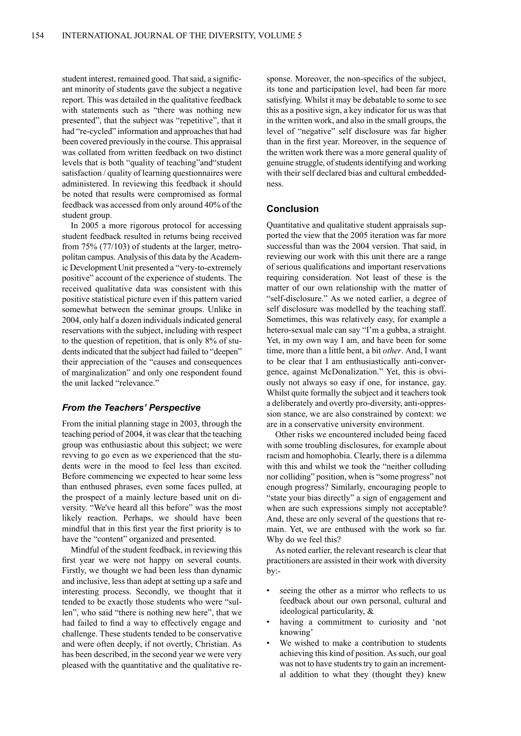student interest, remained good. That said, a significant minority of students gave the subject a negative report. This was detailed in the qualitative feedback with statements such as "there was nothing new presented", that the subject was "repetitive", that it had "re-cycled" information and approaches that had been covered previously in the course. This appraisal was collated from written feedback on two distinct levels that is both "quality of teaching"and"student satisfaction / quality of learning questionnaires were administered. In reviewing this feedback it should be noted that results were compromised as formal feedback was accessed from only around 40% of the student group.

In 2005 a more rigorous protocol for accessing student feedback resulted in returns being received from 75% (77/103) of students at the larger, metropolitan campus. Analysis of this data by the Academic Development Unit presented a "very-to-extremely positive" account of the experience of students. The received qualitative data was consistent with this positive statistical picture even if this pattern varied somewhat between the seminar groups. Unlike in 2004, only half a dozen individuals indicated general reservations with the subject, including with respect to the question of repetition, that is only 8% of students indicated that the subject had failed to "deepen" their appreciation of the "causes and consequences of marginalization" and only one respondent found the unit lacked "relevance."

#### *From the Teachers' Perspective*

From the initial planning stage in 2003, through the teaching period of 2004, it was clear that the teaching group was enthusiastic about this subject; we were revving to go even as we experienced that the students were in the mood to feel less than excited. Before commencing we expected to hear some less than enthused phrases, even some faces pulled, at the prospect of a mainly lecture based unit on diversity. "We've heard all this before" was the most likely reaction. Perhaps, we should have been mindful that in this first year the first priority is to have the "content" organized and presented.

Mindful of the student feedback, in reviewing this first year we were not happy on several counts. Firstly, we thought we had been less than dynamic and inclusive, less than adept at setting up a safe and interesting process. Secondly, we thought that it tended to be exactly those students who were "sullen", who said "there is nothing new here", that we had failed to find a way to effectively engage and challenge. These students tended to be conservative and were often deeply, if not overtly, Christian. As has been described, in the second year we were very pleased with the quantitative and the qualitative response. Moreover, the non-specifics of the subject, its tone and participation level, had been far more satisfying. Whilst it may be debatable to some to see this as a positive sign, a key indicator for us was that in the written work, and also in the small groups, the level of "negative" self disclosure was far higher than in the first year. Moreover, in the sequence of the written work there was a more general quality of genuine struggle, of students identifying and working with their self declared bias and cultural embeddedness.

#### **Conclusion**

Quantitative and qualitative student appraisals supported the view that the 2005 iteration was far more successful than was the 2004 version. That said, in reviewing our work with this unit there are a range of serious qualifications and important reservations requiring consideration. Not least of these is the matter of our own relationship with the matter of "self-disclosure." As we noted earlier, a degree of self disclosure was modelled by the teaching staff. Sometimes, this was relatively easy, for example a hetero-sexual male can say "I'm a gubba, a straight. Yet, in my own way I am, and have been for some time, more than a little bent, a bit *other*. And, I want to be clear that I am enthusiastically anti-convergence, against McDonalization." Yet, this is obviously not always so easy if one, for instance, gay. Whilst quite formally the subject and it teachers took a deliberately and overtly pro-diversity, anti-oppression stance, we are also constrained by context: we are in a conservative university environment.

Other risks we encountered included being faced with some troubling disclosures, for example about racism and homophobia. Clearly, there is a dilemma with this and whilst we took the "neither colluding nor colliding" position, when is "some progress" not enough progress? Similarly, encouraging people to "state your bias directly" a sign of engagement and when are such expressions simply not acceptable? And, these are only several of the questions that remain. Yet, we are enthused with the work so far. Why do we feel this?

As noted earlier, the relevant research is clear that practitioners are assisted in their work with diversity by:-

- seeing the other as a mirror who reflects to us feedback about our own personal, cultural and ideological particularity, &
- having a commitment to curiosity and 'not knowing'
- We wished to make a contribution to students achieving this kind of position. As such, our goal was not to have students try to gain an incremental addition to what they (thought they) knew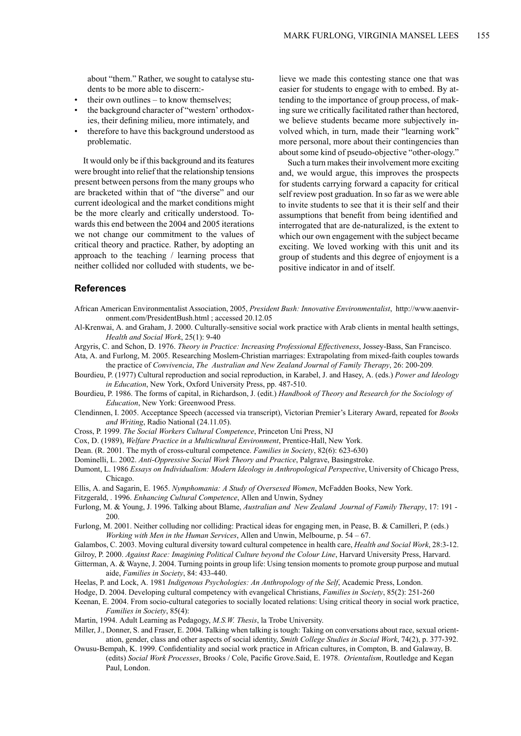about "them." Rather, we sought to catalyse students to be more able to discern:-

- their own outlines to know themselves;
- the background character of "western' orthodoxies, their defining milieu, more intimately, and
- therefore to have this background understood as problematic.

It would only be if this background and its features were brought into relief that the relationship tensions present between persons from the many groups who are bracketed within that of "the diverse" and our current ideological and the market conditions might be the more clearly and critically understood. Towards this end between the 2004 and 2005 iterations we not change our commitment to the values of critical theory and practice. Rather, by adopting an approach to the teaching / learning process that neither collided nor colluded with students, we believe we made this contesting stance one that was easier for students to engage with to embed. By attending to the importance of group process, of making sure we critically facilitated rather than hectored, we believe students became more subjectively involved which, in turn, made their "learning work" more personal, more about their contingencies than about some kind of pseudo-objective "other-ology."

Such a turn makes their involvement more exciting and, we would argue, this improves the prospects for students carrying forward a capacity for critical self review post graduation. In so far as we were able to invite students to see that it is their self and their assumptions that benefit from being identified and interrogated that are de-naturalized, is the extent to which our own engagement with the subject became exciting. We loved working with this unit and its group of students and this degree of enjoyment is a positive indicator in and of itself.

#### **References**

- African American Environmentalist Association, 2005, *President Bush: Innovative Environmentalist*, http://www.aaenvironment.com/PresidentBush.html ; accessed 20.12.05
- Al-Krenwai, A. and Graham, J. 2000. Culturally-sensitive social work practice with Arab clients in mental health settings, *Health and Social Work*, 25(1): 9-40
- Argyris, C. and Schon, D. 1976. *Theory in Practice: Increasing Professional Effectiveness*, Jossey-Bass, San Francisco.
- Ata, A. and Furlong, M. 2005. Researching Moslem-Christian marriages: Extrapolating from mixed-faith couples towards the practice of *Convivencia*, *The Australian and New Zealand Journal of Family Therapy*, 26: 200-209*.*
- Bourdieu, P. (1977) Cultural reproduction and social reproduction, in Karabel, J. and Hasey, A. (eds.) *Power and Ideology in Education*, New York, Oxford University Press, pp. 487-510.
- Bourdieu, P. 1986. The forms of capital, in Richardson, J. (edit.) *Handbook of Theory and Research for the Sociology of Education*, New York: Greenwood Press.
- Clendinnen, I. 2005. Acceptance Speech (accessed via transcript), Victorian Premier's Literary Award, repeated for *Books and Writing*, Radio National (24.11.05).
- Cross, P. 1999. *The Social Workers Cultural Competence*, Princeton Uni Press, NJ
- Cox, D. (1989), *Welfare Practice in a Multicultural Environment*, Prentice-Hall, New York.
- Dean. (R. 2001. The myth of cross-cultural competence. *Families in Society*, 82(6): 623-630)
- Dominelli, L. 2002. *Anti-Oppressive Social Work Theory and Practice*, Palgrave, Basingstroke.
- Dumont, L. 1986 *Essays on Individualism: Modern Ideology in Anthropological Perspective*, University of Chicago Press, Chicago.
- Ellis, A. and Sagarin, E. 1965. *Nymphomania: A Study of Oversexed Women*, McFadden Books, New York.
- Fitzgerald, . 1996. *Enhancing Cultural Competence*, Allen and Unwin, Sydney
- Furlong, M. & Young, J. 1996. Talking about Blame, *Australian and New Zealand Journal of Family Therapy*, 17: 191 200.
- Furlong, M. 2001. Neither colluding nor colliding: Practical ideas for engaging men, in Pease, B. & Camilleri, P. (eds.) *Working with Men in the Human Services*, Allen and Unwin, Melbourne, p. 54 – 67.
- Galambos, C. 2003. Moving cultural diversity toward cultural competence in health care, *Health and Social Work*, 28:3-12.
- Gilroy, P. 2000. *Against Race: Imagining Political Culture beyond the Colour Line*, Harvard University Press, Harvard.
- Gitterman, A. & Wayne, J. 2004. Turning points in group life: Using tension moments to promote group purpose and mutual aide, *Families in Society*, 84: 433-440.
- Heelas, P. and Lock, A. 1981 *Indigenous Psychologies: An Anthropology of the Self*, Academic Press, London.
- Hodge, D. 2004. Developing cultural competency with evangelical Christians, *Families in Society*, 85(2): 251-260
- Keenan, E. 2004. From socio-cultural categories to socially located relations: Using critical theory in social work practice, *Families in Society*, 85(4):
- Martin, 1994. Adult Learning as Pedagogy, *M.S.W. Thesis*, la Trobe University.
- Miller, J., Donner, S. and Fraser, E. 2004. Talking when talking is tough: Taking on conversations about race, sexual orientation, gender, class and other aspects of social identity, *Smith College Studies in Social Work*, 74(2), p. 377-392.
- Owusu-Bempah, K. 1999. Confidentiality and social work practice in African cultures, in Compton, B. and Galaway, B. (edits) *Social Work Processes*, Brooks / Cole, Pacific Grove.Said, E. 1978. *Orientalism*, Routledge and Kegan Paul, London.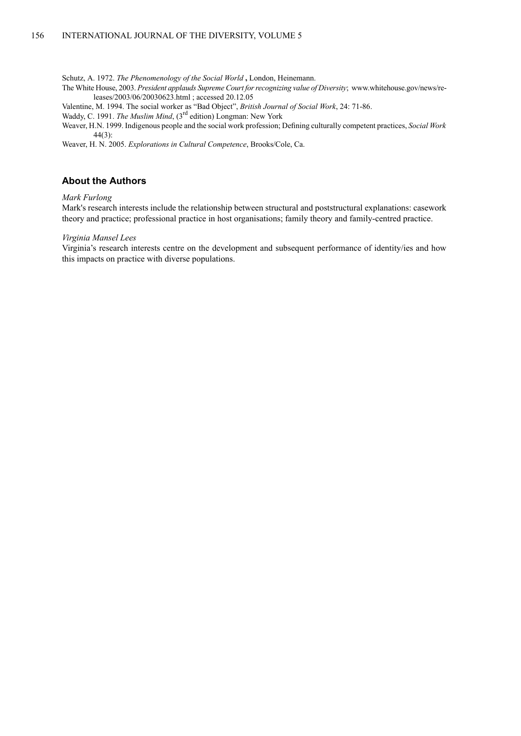Schutz, A. 1972. *The Phenomenology of the Social World* **,** London, Heinemann.

The White House, 2003. *President applauds Supreme Court forrecognizing value of Diversity*; www.whitehouse.gov/news/releases/2003/06/20030623.html ; accessed 20.12.05

- Valentine, M. 1994. The social worker as "Bad Object", *British Journal of Social Work*, 24: 71-86.
- Waddy, C. 1991. *The Muslim Mind*, (3rd edition) Longman: New York
- Weaver, H.N. 1999. Indigenous people and the social work profession; Defining culturally competent practices, *Social Work* 44(3):

Weaver, H. N. 2005. *Explorations in Cultural Competence*, Brooks/Cole, Ca.

# **About the Authors**

#### *Mark Furlong*

Mark's research interests include the relationship between structural and poststructural explanations: casework theory and practice; professional practice in host organisations; family theory and family-centred practice.

#### *Virginia Mansel Lees*

Virginia's research interests centre on the development and subsequent performance of identity/ies and how this impacts on practice with diverse populations.